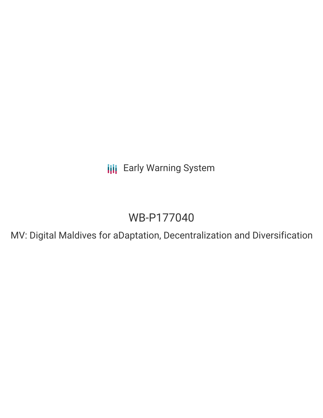**III** Early Warning System

# WB-P177040

MV: Digital Maldives for aDaptation, Decentralization and Diversification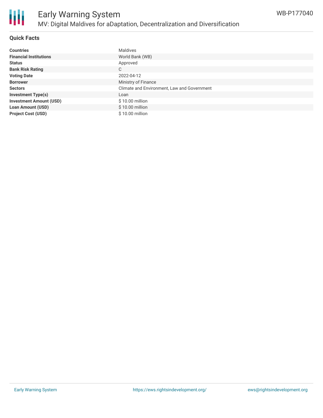

## **Quick Facts**

| <b>Countries</b>               | <b>Maldives</b>                             |
|--------------------------------|---------------------------------------------|
| <b>Financial Institutions</b>  | World Bank (WB)                             |
| <b>Status</b>                  | Approved                                    |
| <b>Bank Risk Rating</b>        | C                                           |
| <b>Voting Date</b>             | 2022-04-12                                  |
| <b>Borrower</b>                | Ministry of Finance                         |
| <b>Sectors</b>                 | Climate and Environment, Law and Government |
| <b>Investment Type(s)</b>      | Loan                                        |
| <b>Investment Amount (USD)</b> | \$10.00 million                             |
| <b>Loan Amount (USD)</b>       | \$10.00 million                             |
| <b>Project Cost (USD)</b>      | $$10.00$ million                            |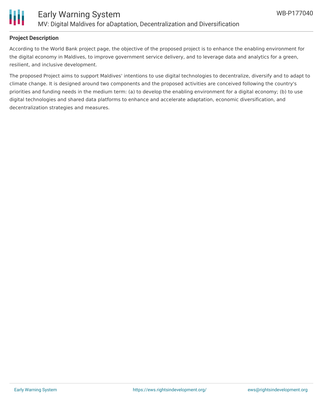

## **Project Description**

According to the World Bank project page, the objective of the proposed project is to enhance the enabling environment for the digital economy in Maldives, to improve government service delivery, and to leverage data and analytics for a green, resilient, and inclusive development.

The proposed Project aims to support Maldives' intentions to use digital technologies to decentralize, diversify and to adapt to climate change. It is designed around two components and the proposed activities are conceived following the country's priorities and funding needs in the medium term: (a) to develop the enabling environment for a digital economy; (b) to use digital technologies and shared data platforms to enhance and accelerate adaptation, economic diversification, and decentralization strategies and measures.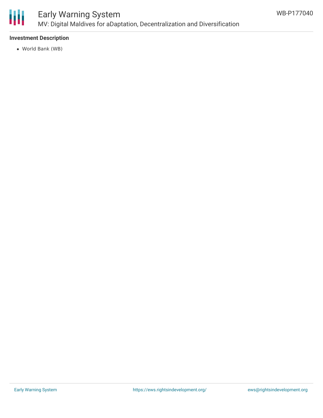

# Early Warning System MV: Digital Maldives for aDaptation, Decentralization and Diversification

## **Investment Description**

World Bank (WB)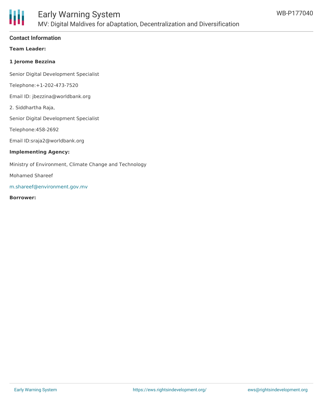

#### **Contact Information**

**Team Leader:**

#### **1 Jerome Bezzina**

Senior Digital Development Specialist

Telephone:+1-202-473-7520

Email ID: jbezzina@worldbank.org

2. Siddhartha Raja,

Senior Digital Development Specialist

Telephone:458-2692

Email ID:sraja2@worldbank.org

#### **Implementing Agency:**

Ministry of Environment, Climate Change and Technology

Mohamed Shareef

[m.shareef@environment.gov.mv](mailto:m.shareef@environment.gov.mv)

#### **Borrower:**